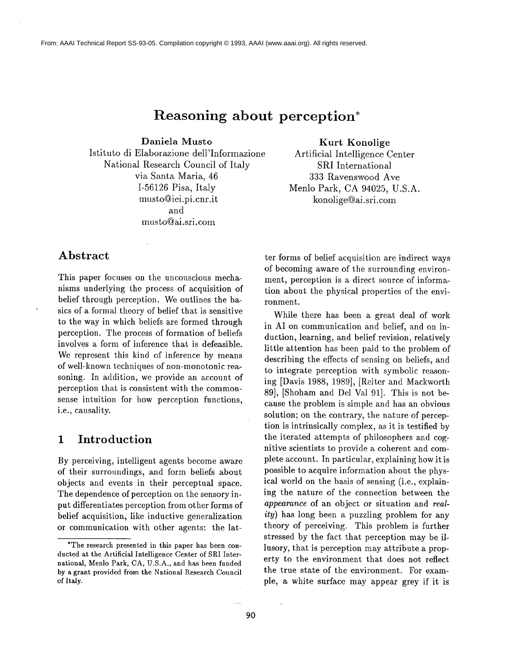From: AAAI Technical Report SS-93-05. Compilation copyright © 1993, AAAI (www.aaai.org). All rights reserved.

# **Reasoning about perception\***

Daniela Musto

Istituto di Elaborazione dell'Informazione National Research Council of Italy via Santa Maria, 46 1-56126 Pisa, Italy musto@iei.pi.cnr.it and musto@ai.sri.com

**Abstract**

This paper focuses on the uncouscious mechanisms underlying the process of acquisition of belief through perception. We outlines the basics of a formal theory of belief that is sensitive to the way in which beliefs are formed through perception. The process of formation of beliefs involves a form of inference that is defeasible. We represent this kind of inference by means of well-known techniques of non-monotonic reasoning. In addition, we provide an account of perception that is consistent with the commonsense intuition for how perception functions, i.e., causality.

### **1 Introduction**

By perceiving, intelligent agents become aware of their surroundings, and form beliefs about objects and events in their perceptual space. The dependence of perception on the sensory input differentiates perception from other forms of belief acquisition, like inductive generalization or communication with other agents: the latKurt **Konolige**

Artificial Intelligence Center SRI International 333 Ravenswood Ave Menlo Park, CA 94025, U.S.A. konolige@ai.sri.com

ter forms of belief acquisition are indirect ways of becoming aware of the surrounding environment, perception is a direct source of information about the physical properties of the environment.

While there has been a great deal of work in AI on communication and belief, and on induction, learning, and belief revision, relatively little attention has been paid to the problem of describing the effects of sensing on beliefs, and to integrate perception with symbolic reasoning [Davis 1988, 1989], [Reiter and Mackworth 89], [Shoham and Del Val 91]. This is not because the problem is simple and has an obvious solution; on the contrary, the nature of perception is intrinsically complex, as it is testified by the iterated attempts of philosophers and cognitive scientists to provide a coherent and complete account. In particular, explaining how it is possible to acquire information about the physical world on the basis of sensing (i.e., explaining the nature of the connection between the *appearance* of an object or situation and *reality)* has long been a puzzling problem for any theory of perceiving. This problem is further stressed by the fact that perception may be illusory, that is perception may attribute a property to the environment that does not reflect the true state of the environment. For example, a white surface may appear grey if it is

<sup>\*</sup>The research presented in this paper has been conducted at the Artificial Intelligence Center of SRI International, Menlo Park, CA, U.S.A., and has been funded by a grant provided from the National Research Council of Italy.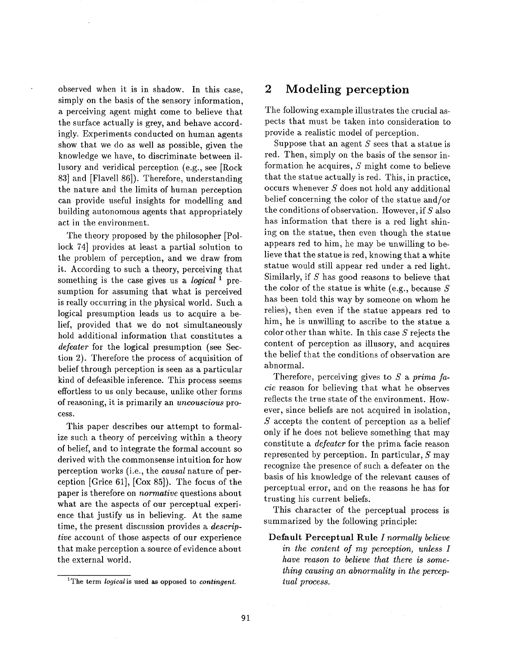observed when it is in shadow. In this case, simply on the basis of the sensory information, a perceiving agent might come to believe that the surface actually is grey, and behave accordingly. Experiments conducted on human agents show that we do as well as possible, given the knowledge we have, to discriminate between illusory and veridical perception (e.g., see [Rock 83] and [Flavell 86]). Therefore, understanding the nature and the limits of human perception can provide useful insights for modelling and building autonomous agents that appropriately act in the environment.

The theory proposed by the philosopher [Pollock 74] provides at least a partial solution to the problem of perception, and we draw from it. According to such a theory, perceiving that something is the case gives us a *logical 1* presumption for assuming that what is perceived is really occurring in the physical world. Such a logical presumption leads us to acquire a belief, provided that we do not simultaneously hold additional information that constitutes a *defeater* for the logical presumption (see Section 2). Therefore the process of acquisition of belief through perception is seen as a particular kind of defeasible inference. This process seems effortless to us only because, unlike other forms of reasoning, it is primarily an *uncouscious* process.

This paper describes our attempt to formalize such a theory of perceiving within a theory of belief, and to integrate the formal account so derived with the commonsense intuition for how perception works (i.e., the *causal* nature of perception [Grice 61], [Cox 85]). The focus of the paper is therefore on *normative* questions about what are the aspects of our perceptual experience that justify us in believing. At the same time, the present discussion provides a *descriptive* account of those aspects of our experience that make perception a source of evidence about the external world.

### **2 Modeling perception**

The following example illustrates the crucial aspects that must be taken into consideration to provide a realistic model of perception.

Suppose that an agent  $S$  sees that a statue is red. Then, simply on the basis of the sensor information he acquires, S might come to believe that the statue actually is red. This, in practice, occurs whenever  $S$  does not hold any additional belief concerning the color of the statue and/or the conditions of observation. However, if  $S$  also has information that there is a red light shining on the statue, then even though the statue appears red to him, he may be unwilling to believe that the statue is red, knowing that a white statue would still appear red under a red light. Similarly, if S has good reasons to believe that the color of the statue is white (e.g., because  $S$ has been told this way by someone on whom he relies), then even if the statue appears red to him, he is unwilling to ascribe to the statue a color other than white. In this case  $S$  rejects the content of perception as illusory, and acquires the belief that the conditions of observation are abnormal.

Therefore, perceiving gives to S a *prima facie* reason for believing that what he observes reflects the true state of the environment. However, since beliefs are not acquired in isolation,  $S$  accepts the content of perception as a belief only if he does not believe something that may constitute a *defeater* for the prima facie reason represented by perception. In particular,  $S$  may recognize the presence of such a defeater on the basis of his knowledge of the relevant causes of perceptual error, and on the reasons he has for trusting his current beliefs.

This character of the perceptual process is summarized by the following principle:

Default Perceptual Rule *I normally believe in the content of my perception, unless I have reason to believe that there is something causing an abnormality in the perceptual process.*

<sup>1</sup>The term *logical is* used as **opposed to** *contingent.*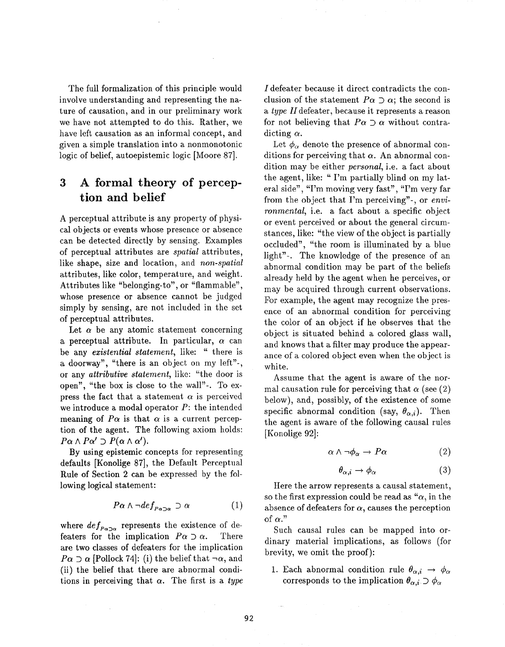The full formalization of this principle would involve understanding and representing the nature of causation, and in our preliminary work we have not attempted to do this. Rather, we have left causation as an informal concept, and given a simple translation into a nonmonotonic logic of belief, autoepistemic logic [Moore 87].

## **3 A formal theory of perception and belief**

A perceptual attribute is any property of physical objects or events whose presence or absence can be detected directly by sensing. Examples of perceptual attributes are *spatial* attributes, like shape, size and location, and *non-spatial* attributes, like color, temperature, and weight. Attributes like "belonging-to", or "flammable", whose presence or absence cannot be judged simply by sensing, are not included in the set of perceptual attributes.

Let  $\alpha$  be any atomic statement concerning a perceptual attribute. In particular,  $\alpha$  can be any *existential statement,* like: " there is a doorway", "there is an object on my left"-, or any *attributive statement,* like: "the door is open", "the box is close to the wall"-. To express the fact that a statement  $\alpha$  is perceived we introduce a modal operator  $P$ : the intended meaning of  $P\alpha$  is that  $\alpha$  is a current perception of the agent. The following axiom holds:  $P\alpha \wedge P\alpha' \supset P(\alpha \wedge \alpha').$ 

By using epistemic concepts for representing defaults [Konolige 87], the Default Perceptual Rule of Section 2 can be expressed by the following logical statement:

$$
P\alpha \wedge \neg def_{P\alpha \supset \alpha} \supset \alpha \tag{1}
$$

where  $def_{P\alpha\supset\alpha}$  represents the existence of defeaters for the implication  $P\alpha \supset \alpha$ . There are two classes of defeaters for the implication  $P\alpha \supset \alpha$  [Pollock 74]: (i) the belief that  $\neg \alpha$ , and (ii) the belief that there are abnormal conditions in perceiving that  $\alpha$ . The first is a *type* 

I defeater because it direct contradicts the conclusion of the statement  $P\alpha \supset \alpha$ ; the second is *a type* Hdefeater, because it represents a reason for not believing that  $P\alpha \supset \alpha$  without contradicting  $\alpha$ .

Let  $\phi_{\alpha}$  denote the presence of abnormal conditions for perceiving that  $\alpha$ . An abnormal condition may be either *personal,* i.e. a fact about the agent, like: " I'm partially blind on my lateral side", "I'm moving very fast", "I'm very far from the object that I'm perceiving"-, or *environmental,* i.e. a fact about a specific object or event perceived or about the general circumstances, like: "the view of the object is partially occluded", "the room is illuminated by a blue light"-. The knowledge of the presence of an abnormal condition may be part of the beliefs already held by the agent when he perceives, or may be acquired through current observations. For example, the agent may recognize the presence of an abnormal condition for perceiving the color of an object if he observes that the object is situated behind a colored glass wall, and knows that a filter may produce the appearance of a colored object even when the object is white.

Assume that the agent is aware of the normal causation rule for perceiving that  $\alpha$  (see (2) below), and, possibly, of the existence of some specific abnormal condition (say,  $\theta_{\alpha,i}$ ). Then the agent is aware of the following causal rules [Konolige 92]:

$$
\alpha \wedge \neg \phi_{\alpha} \to P\alpha \tag{2}
$$

$$
\theta_{\alpha,i} \to \phi_{\alpha} \tag{3}
$$

Here the arrow represents a causal statement, so the first expression could be read as " $\alpha$ , in the absence of defeaters for  $\alpha$ , causes the perception of  $\alpha$ ."

Such causal rules can be mapped into ordinary material implications, as follows (for brevity, we omit the proof):

1. Each abnormal condition rule  $\theta_{\alpha,i} \rightarrow \phi_{\alpha,i}$ corresponds to the implication  $\theta_{\alpha,i} \supset \phi_{\alpha}$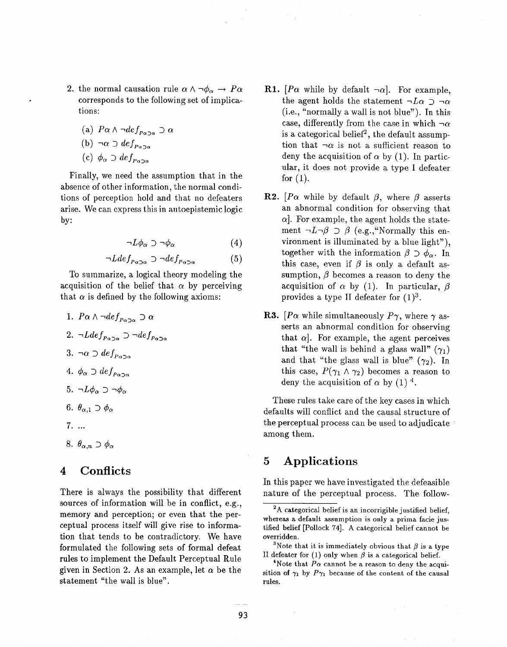- 2. the normal causation rule  $\alpha \wedge \neg \phi_{\alpha} \rightarrow P\alpha$ corresponds to the following set of implications:
	- (a)  $P\alpha \wedge \neg def_{P\alpha \supset \alpha} \supset \alpha$

$$
(b) \neg \alpha \supset def_{P \alpha \supset G}
$$

(c)  $\phi_{\alpha} \supset def_{P_{\alpha}}$ 

Finally, we need the assumption that in the absence of other information, the normal conditions of perception hold and that no defeaters arise. We can express this in autoepistemic logic by:

$$
\neg L\phi_{\alpha} \supset \neg \phi_{\alpha} \tag{4}
$$

$$
\neg Ldef_{P\alpha \supset \alpha} \supset \neg def_{P\alpha \supset \alpha} \tag{5}
$$

To summarize, a logical theory modeling the acquisition of the belief that  $\alpha$  by perceiving that  $\alpha$  is defined by the following axioms:

- 1.  $P\alpha \wedge \neg def_{P\alpha \supset \alpha} \supset \alpha$ 2.  $\neg Ldef_{P\alpha\supset\alpha} \supset \neg def_{P\alpha\supset\alpha}$ 3.  $\neg \alpha \supset def_{P_{\alpha} \supset \alpha}$ 4.  $\phi_{\alpha} \supset def_{P_{\alpha} \supset \alpha}$ 5.  $\neg L\phi_\alpha \supset \neg \phi_\alpha$ 6.  $\theta_{\alpha,1} \supset \phi_{\alpha}$
- $7. \ldots$
- 8.  $\theta_{\alpha,n} \supset \phi_{\alpha}$

#### **4 Conflicts**

There is always the possibility that different sources of information will be in conflict, e.g., memory and perception; or even that the perceptual process itself will give rise to information that tends to be contradictory. We have formulated the following sets of formal defeat rules to implement the Default Perceptual Rule given in Section 2. As an example, let  $\alpha$  be the statement "the wall is blue".

- **R1.**  $[P\alpha$  while by default  $\neg \alpha$ . For example, the agent holds the statement  $-L\alpha \supset \neg \alpha$ (i.e., "normally a wall is not blue"). In this case, differently from the case in which  $\neg \alpha$ is a categorical belief<sup>2</sup>, the default assumption that  $\neg \alpha$  is not a sufficient reason to deny the acquisition of  $\alpha$  by (1). In particular, it does not provide a type I defeater for  $(1)$ .
- **R2.**  $\left[Pa \right]$  while by default  $\beta$ , where  $\beta$  asserts an abnormal condition for observing that  $\alpha$ . For example, the agent holds the statement  $\neg L\neg \beta \supset \beta$  (e.g., "Normally this environment is illuminated by a blue light"), together with the information  $\beta \supset \phi_{\alpha}$ . In this case, even if  $\beta$  is only a default assumption,  $\beta$  becomes a reason to deny the acquisition of  $\alpha$  by (1). In particular,  $\beta$ provides a type II defeater for  $(1)^3$ .
- **R3.** [ $P\alpha$  while simultaneously  $P\gamma$ , where  $\gamma$  asserts an abnormal condition for observing that  $\alpha$ ]. For example, the agent perceives that "the wall is behind a glass wall"  $(\gamma_1)$ and that "the glass wall is blue"  $(\gamma_2)$ . In this case,  $P(\gamma_1 \wedge \gamma_2)$  becomes a reason to deny the acquisition of  $\alpha$  by (1)<sup>4</sup>.

These rules take care of the key cases in which defaults wilt conflict and the causal structure of the perceptual process can be used to adjudicate among them.

### **5 Applications**

In this paper we have investigated the defeasible nature of the perceptual process. The follow-

<sup>&</sup>lt;sup>2</sup>A categorical belief is an incorrigible justified belief, whereas a default assumption is only a prima facie justified belief [Pollock 74]. A categorical belief cannot be overridden.

<sup>&</sup>lt;sup>3</sup>Note that it is immediately obvious that  $\beta$  is a type II defeater for (1) only when  $\beta$  is a categorical belief.

<sup>&</sup>lt;sup>4</sup>Note that  $P\alpha$  cannot be a reason to deny the acquisition of  $\gamma_1$  by  $P\gamma_1$  because of the content of the causal rules.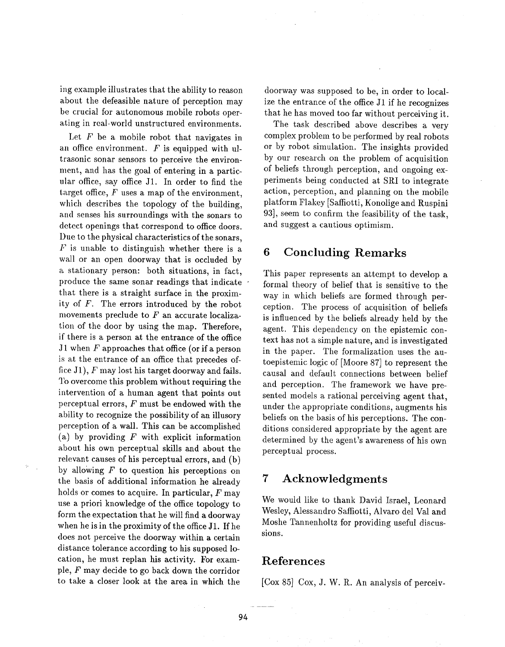ing example illustrates that the ability to reason about the defeasible nature of perception may be crucial for autonomous mobile robots operating in real-world unstructured environments.

Let  $F$  be a mobile robot that navigates in an office environment.  $F$  is equipped with ultrasonic sonar sensors to perceive the environmeat, and has the goal of entering in a particular office, say office J1. In order to find the target office,  $F$  uses a map of the environment, which describes the topology of the building, and senses his surroundings with the sonars to detect openings that correspond to office doors. Due to the physical characteristics of the sonars,  $F$  is unable to distinguish whether there is a wall or an open doorway that is occluded by a stationary person: both situations, in fact, produce the same sonar readings that indicate that there is a straight surface in the proximity of F. The errors introduced by the robot movements preclude to  $F$  an accurate localization of the door by using the map. Therefore, if there is a person at the entrance of the office J1 when  $F$  approaches that office (or if a person is at the entrance of an office that precedes office J1),  $F$  may lost his target doorway and fails. To overcome this problem without requiring the intervention of a human agent that points out perceptual errors,  $F$  must be endowed with the ability to recognize the possibility of an illusory perception of a wall. This can be accomplished (a) by providing  $F$  with explicit information about his own perceptual skills and about the relevant causes of his perceptual errors, and (b) by allowing  $F$  to question his perceptions on the basis of additional information he already holds or comes to acquire. In particular,  $F$  may use a priori knowledge of the office topology to form the expectation that he will find a doorway when he is in the proximity of the office J1. If he does not perceive the doorway within a certain distance tolerance according to his supposed location, he must replan his activity. For example, F may decide to go back down the corridor to take a closer look at the area in which the

doorway was supposed to be, in order to localize the entrance of the office J1 if he recognizes that he has moved too far without perceiving it.

The task described above describes a very complex problem to be performed by real robots or by robot simulation. The insights provided by our research on the problem of acquisition of beliefs through perception, and ongoing experiments being conducted at SRI to integrate action, perception, and planning on the mobile platform Flakey [Saffiotti, Konolige and Ruspini 93], seem to confirm the feasibility of the task, and suggest a cautious optimism.

#### **6 Concluding Remarks**

This paper represents an attempt to develop a formal theory of belief that is sensitive to the way in which beliefs are formed through perception. The process of acquisition of beliefs is influenced by the beliefs already held by the agent. This dependency on the epistemic context has not a simple nature, and is investigated in the paper. The formalization uses the autoepistemic logic of [Moore 87] to represent the causal and default connections between belief and perception. The framework we have presented models a rational perceiving agent that, under the appropriate conditions, augments his beliefs on the basis of his perceptions. The conditions considered appropriate by the agent are determined by the agent's awareness of his own perceptual process.

### **7 Acknowledgments**

We would like to thank David Israel, Leonard Wesley, Alessandro Saffiotti, Alvaro del Val and Moshe Tannenholtz for providing useful discussions.

### **References**

[Cox 85] Cox, J. W. R. An analysis of perceiv-